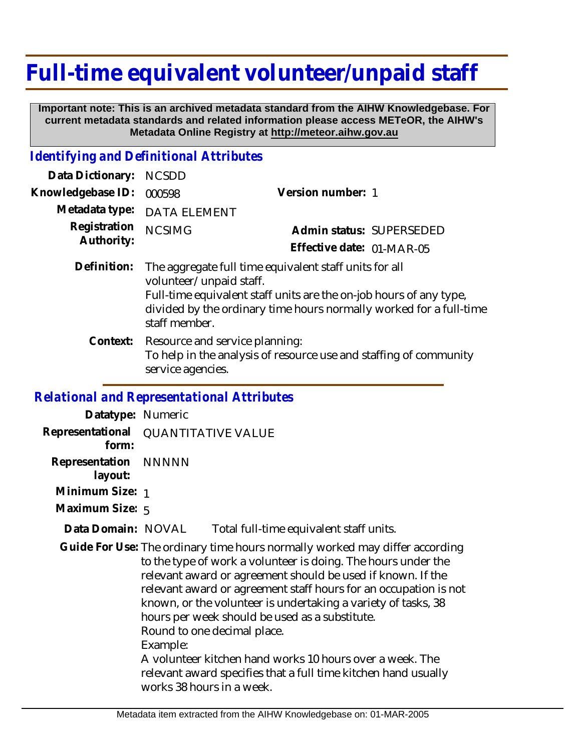## **Full-time equivalent volunteer/unpaid staff**

 **Important note: This is an archived metadata standard from the AIHW Knowledgebase. For current metadata standards and related information please access METeOR, the AIHW's Metadata Online Registry at http://meteor.aihw.gov.au**

## *Identifying and Definitional Attributes*

| Data Dictionary:                             | <b>NCSDD</b>                                                                                                                                                                                                                                   |                           |                          |
|----------------------------------------------|------------------------------------------------------------------------------------------------------------------------------------------------------------------------------------------------------------------------------------------------|---------------------------|--------------------------|
| Knowledgebase ID:                            | 000598                                                                                                                                                                                                                                         | Version number: 1         |                          |
| Metadata type:<br>Registration<br>Authority: | <b>DATA ELEMENT</b>                                                                                                                                                                                                                            |                           |                          |
|                                              | <b>NCSIMG</b>                                                                                                                                                                                                                                  |                           | Admin status: SUPERSEDED |
|                                              |                                                                                                                                                                                                                                                | Effective date: 01-MAR-05 |                          |
| Definition:                                  | The aggregate full time equivalent staff units for all<br>volunteer/unpaid staff.<br>Full-time equivalent staff units are the on-job hours of any type,<br>divided by the ordinary time hours normally worked for a full-time<br>staff member. |                           |                          |
| Context:                                     | Resource and service planning:<br>To help in the analysis of resource use and staffing of community<br>service agencies.                                                                                                                       |                           |                          |

## *Relational and Representational Attributes*

| Datatype: Numeric               |                                                                                                                                                                                                                                                                                                                                                                                                                                                                                                                                                                                                          |
|---------------------------------|----------------------------------------------------------------------------------------------------------------------------------------------------------------------------------------------------------------------------------------------------------------------------------------------------------------------------------------------------------------------------------------------------------------------------------------------------------------------------------------------------------------------------------------------------------------------------------------------------------|
| Representational<br>form:       | <b>QUANTITATIVE VALUE</b>                                                                                                                                                                                                                                                                                                                                                                                                                                                                                                                                                                                |
| Representation NNNNN<br>layout: |                                                                                                                                                                                                                                                                                                                                                                                                                                                                                                                                                                                                          |
| Minimum Size: 1                 |                                                                                                                                                                                                                                                                                                                                                                                                                                                                                                                                                                                                          |
| Maximum Size: 5                 |                                                                                                                                                                                                                                                                                                                                                                                                                                                                                                                                                                                                          |
| Data Domain: NOVAL              | Total full-time equivalent staff units.                                                                                                                                                                                                                                                                                                                                                                                                                                                                                                                                                                  |
|                                 | Guide For Use: The ordinary time hours normally worked may differ according<br>to the type of work a volunteer is doing. The hours under the<br>relevant award or agreement should be used if known. If the<br>relevant award or agreement staff hours for an occupation is not<br>known, or the volunteer is undertaking a variety of tasks, 38<br>hours per week should be used as a substitute.<br>Round to one decimal place.<br>Example:<br>A volunteer kitchen hand works 10 hours over a week. The<br>relevant award specifies that a full time kitchen hand usually<br>works 38 hours in a week. |